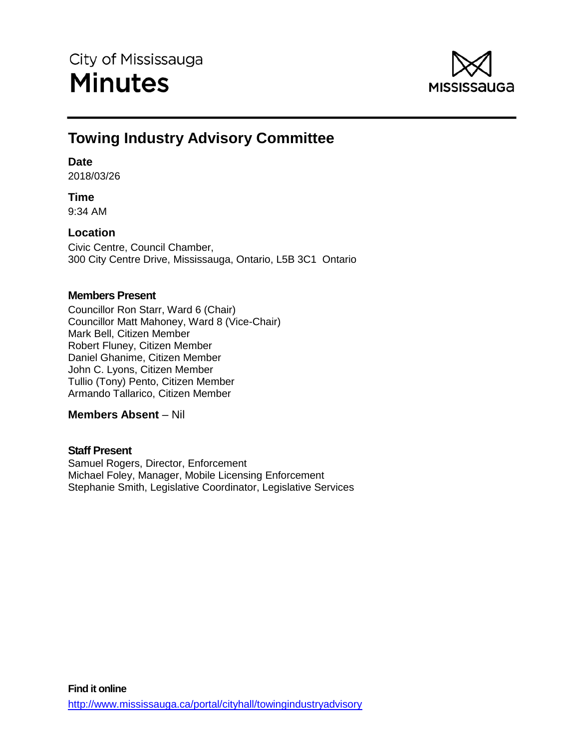

# **Towing Industry Advisory Committee**

## **Date**

2018/03/26

## **Time**

9:34 AM

## **Location**

Civic Centre, Council Chamber, 300 City Centre Drive, Mississauga, Ontario, L5B 3C1 Ontario

## **Members Present**

Councillor Ron Starr, Ward 6 (Chair) Councillor Matt Mahoney, Ward 8 (Vice-Chair) Mark Bell, Citizen Member Robert Fluney, Citizen Member Daniel Ghanime, Citizen Member John C. Lyons, Citizen Member Tullio (Tony) Pento, Citizen Member Armando Tallarico, Citizen Member

## **Members Absent** – Nil

## **Staff Present**

Samuel Rogers, Director, Enforcement Michael Foley, Manager, Mobile Licensing Enforcement Stephanie Smith, Legislative Coordinator, Legislative Services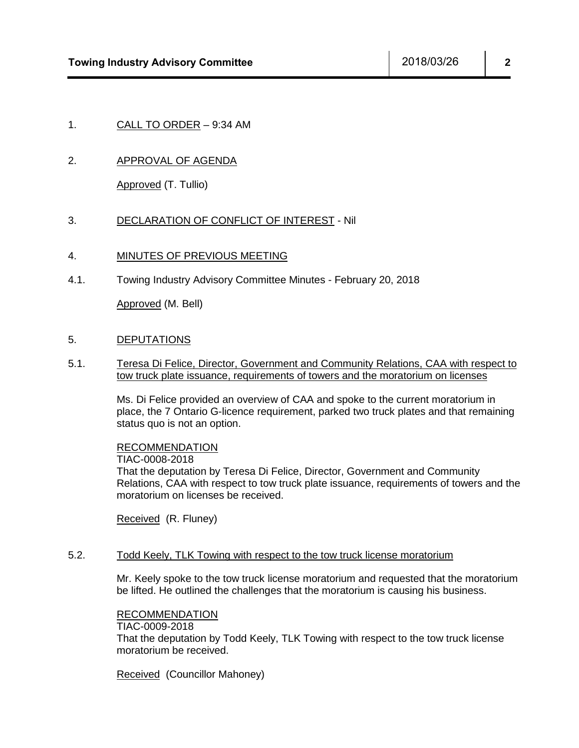## 1. CALL TO ORDER – 9:34 AM

## 2. APPROVAL OF AGENDA

Approved (T. Tullio)

#### 3. DECLARATION OF CONFLICT OF INTEREST - Nil

#### 4. MINUTES OF PREVIOUS MEETING

4.1. Towing Industry Advisory Committee Minutes - February 20, 2018

Approved (M. Bell)

#### 5. DEPUTATIONS

5.1. Teresa Di Felice, Director, Government and Community Relations, CAA with respect to tow truck plate issuance, requirements of towers and the moratorium on licenses

> Ms. Di Felice provided an overview of CAA and spoke to the current moratorium in place, the 7 Ontario G-licence requirement, parked two truck plates and that remaining status quo is not an option.

## RECOMMENDATION

#### TIAC-0008-2018

That the deputation by Teresa Di Felice, Director, Government and Community Relations, CAA with respect to tow truck plate issuance, requirements of towers and the moratorium on licenses be received.

Received (R. Fluney)

#### 5.2. Todd Keely, TLK Towing with respect to the tow truck license moratorium

Mr. Keely spoke to the tow truck license moratorium and requested that the moratorium be lifted. He outlined the challenges that the moratorium is causing his business.

#### RECOMMENDATION

#### TIAC-0009-2018

That the deputation by Todd Keely, TLK Towing with respect to the tow truck license moratorium be received.

Received (Councillor Mahoney)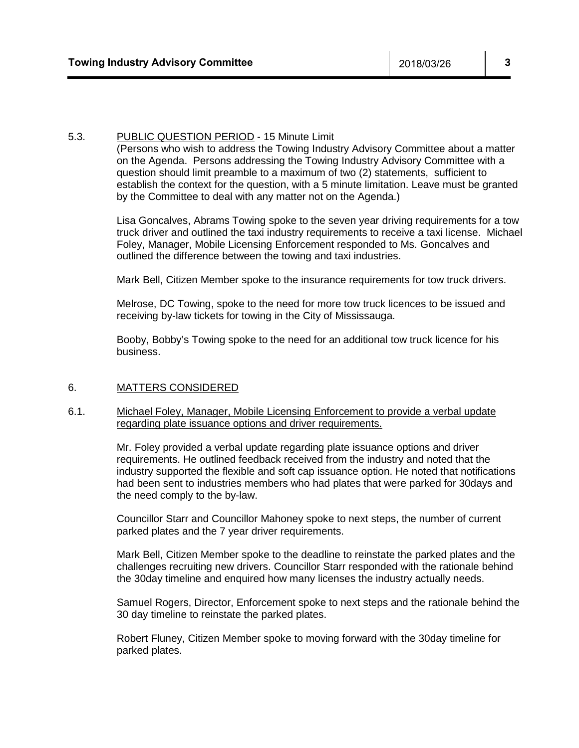#### 5.3. PUBLIC QUESTION PERIOD - 15 Minute Limit

(Persons who wish to address the Towing Industry Advisory Committee about a matter on the Agenda. Persons addressing the Towing Industry Advisory Committee with a question should limit preamble to a maximum of two (2) statements, sufficient to establish the context for the question, with a 5 minute limitation. Leave must be granted by the Committee to deal with any matter not on the Agenda.)

Lisa Goncalves, Abrams Towing spoke to the seven year driving requirements for a tow truck driver and outlined the taxi industry requirements to receive a taxi license. Michael Foley, Manager, Mobile Licensing Enforcement responded to Ms. Goncalves and outlined the difference between the towing and taxi industries.

Mark Bell, Citizen Member spoke to the insurance requirements for tow truck drivers.

Melrose, DC Towing, spoke to the need for more tow truck licences to be issued and receiving by-law tickets for towing in the City of Mississauga.

Booby, Bobby's Towing spoke to the need for an additional tow truck licence for his business.

#### 6. MATTERS CONSIDERED

#### 6.1. Michael Foley, Manager, Mobile Licensing Enforcement to provide a verbal update regarding plate issuance options and driver requirements.

Mr. Foley provided a verbal update regarding plate issuance options and driver requirements. He outlined feedback received from the industry and noted that the industry supported the flexible and soft cap issuance option. He noted that notifications had been sent to industries members who had plates that were parked for 30days and the need comply to the by-law.

Councillor Starr and Councillor Mahoney spoke to next steps, the number of current parked plates and the 7 year driver requirements.

Mark Bell, Citizen Member spoke to the deadline to reinstate the parked plates and the challenges recruiting new drivers. Councillor Starr responded with the rationale behind the 30day timeline and enquired how many licenses the industry actually needs.

Samuel Rogers, Director, Enforcement spoke to next steps and the rationale behind the 30 day timeline to reinstate the parked plates.

Robert Fluney, Citizen Member spoke to moving forward with the 30day timeline for parked plates.